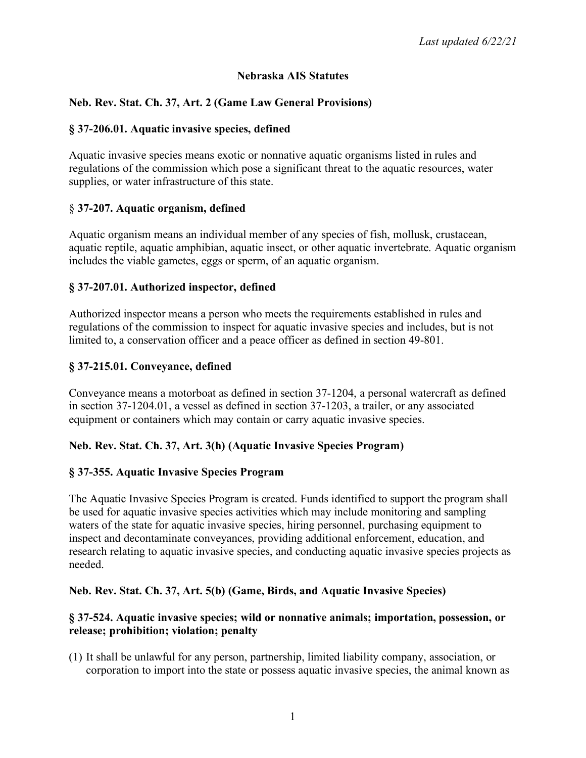### **Nebraska AIS Statutes**

# **Neb. Rev. Stat. Ch. 37, Art. 2 (Game Law General Provisions)**

#### **§ 37-206.01. Aquatic invasive species, defined**

Aquatic invasive species means exotic or nonnative aquatic organisms listed in rules and regulations of the commission which pose a significant threat to the aquatic resources, water supplies, or water infrastructure of this state.

### § **37-207. Aquatic organism, defined**

Aquatic organism means an individual member of any species of fish, mollusk, crustacean, aquatic reptile, aquatic amphibian, aquatic insect, or other aquatic invertebrate. Aquatic organism includes the viable gametes, eggs or sperm, of an aquatic organism.

### **§ 37-207.01. Authorized inspector, defined**

Authorized inspector means a person who meets the requirements established in rules and regulations of the commission to inspect for aquatic invasive species and includes, but is not limited to, a conservation officer and a peace officer as defined in section 49-801.

### **§ 37-215.01. Conveyance, defined**

Conveyance means a motorboat as defined in section 37-1204, a personal watercraft as defined in section 37-1204.01, a vessel as defined in section 37-1203, a trailer, or any associated equipment or containers which may contain or carry aquatic invasive species.

### **Neb. Rev. Stat. Ch. 37, Art. 3(h) (Aquatic Invasive Species Program)**

### **§ 37-355. Aquatic Invasive Species Program**

The Aquatic Invasive Species Program is created. Funds identified to support the program shall be used for aquatic invasive species activities which may include monitoring and sampling waters of the state for aquatic invasive species, hiring personnel, purchasing equipment to inspect and decontaminate conveyances, providing additional enforcement, education, and research relating to aquatic invasive species, and conducting aquatic invasive species projects as needed.

#### **Neb. Rev. Stat. Ch. 37, Art. 5(b) (Game, Birds, and Aquatic Invasive Species)**

#### **§ 37-524. Aquatic invasive species; wild or nonnative animals; importation, possession, or release; prohibition; violation; penalty**

(1) It shall be unlawful for any person, partnership, limited liability company, association, or corporation to import into the state or possess aquatic invasive species, the animal known as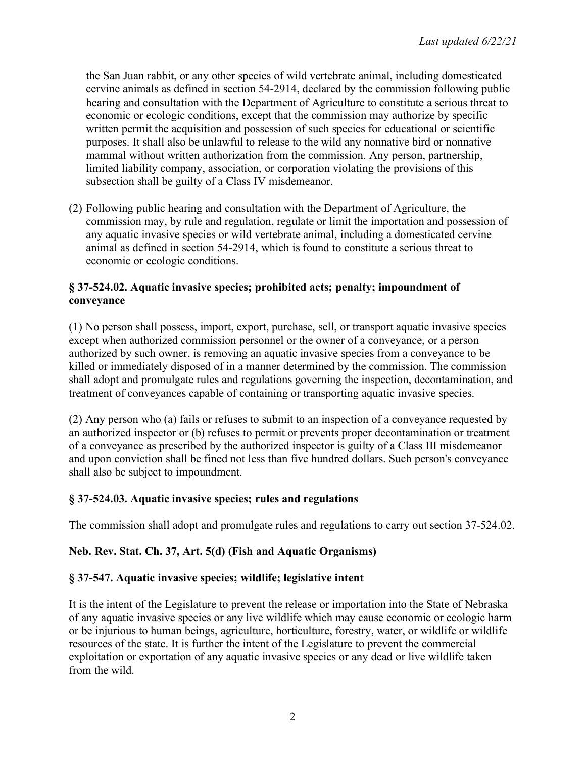the San Juan rabbit, or any other species of wild vertebrate animal, including domesticated cervine animals as defined in section 54-2914, declared by the commission following public hearing and consultation with the Department of Agriculture to constitute a serious threat to economic or ecologic conditions, except that the commission may authorize by specific written permit the acquisition and possession of such species for educational or scientific purposes. It shall also be unlawful to release to the wild any nonnative bird or nonnative mammal without written authorization from the commission. Any person, partnership, limited liability company, association, or corporation violating the provisions of this subsection shall be guilty of a Class IV misdemeanor.

(2) Following public hearing and consultation with the Department of Agriculture, the commission may, by rule and regulation, regulate or limit the importation and possession of any aquatic invasive species or wild vertebrate animal, including a domesticated cervine animal as defined in section 54-2914, which is found to constitute a serious threat to economic or ecologic conditions.

# **§ 37-524.02. Aquatic invasive species; prohibited acts; penalty; impoundment of conveyance**

(1) No person shall possess, import, export, purchase, sell, or transport aquatic invasive species except when authorized commission personnel or the owner of a conveyance, or a person authorized by such owner, is removing an aquatic invasive species from a conveyance to be killed or immediately disposed of in a manner determined by the commission. The commission shall adopt and promulgate rules and regulations governing the inspection, decontamination, and treatment of conveyances capable of containing or transporting aquatic invasive species.

(2) Any person who (a) fails or refuses to submit to an inspection of a conveyance requested by an authorized inspector or (b) refuses to permit or prevents proper decontamination or treatment of a conveyance as prescribed by the authorized inspector is guilty of a Class III misdemeanor and upon conviction shall be fined not less than five hundred dollars. Such person's conveyance shall also be subject to impoundment.

# **§ 37-524.03. Aquatic invasive species; rules and regulations**

The commission shall adopt and promulgate rules and regulations to carry out section 37-524.02.

### **Neb. Rev. Stat. Ch. 37, Art. 5(d) (Fish and Aquatic Organisms)**

### **§ 37-547. Aquatic invasive species; wildlife; legislative intent**

It is the intent of the Legislature to prevent the release or importation into the State of Nebraska of any aquatic invasive species or any live wildlife which may cause economic or ecologic harm or be injurious to human beings, agriculture, horticulture, forestry, water, or wildlife or wildlife resources of the state. It is further the intent of the Legislature to prevent the commercial exploitation or exportation of any aquatic invasive species or any dead or live wildlife taken from the wild.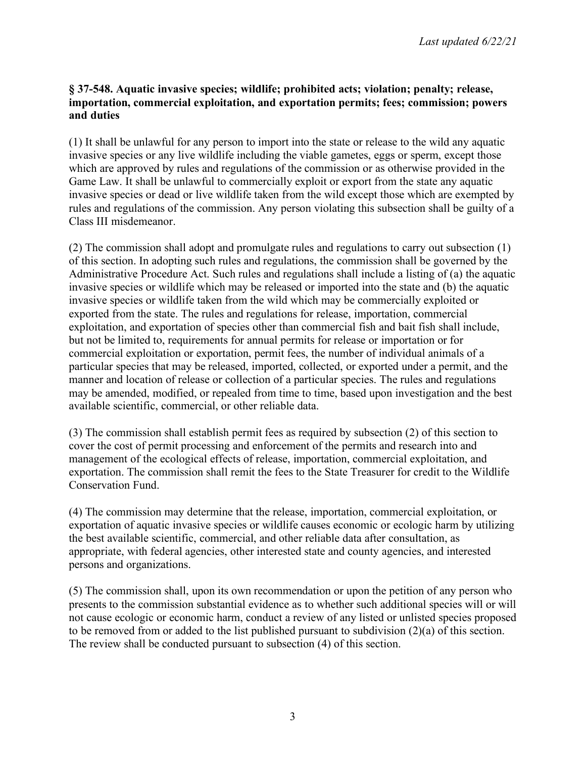### **§ 37-548. Aquatic invasive species; wildlife; prohibited acts; violation; penalty; release, importation, commercial exploitation, and exportation permits; fees; commission; powers and duties**

(1) It shall be unlawful for any person to import into the state or release to the wild any aquatic invasive species or any live wildlife including the viable gametes, eggs or sperm, except those which are approved by rules and regulations of the commission or as otherwise provided in the Game Law. It shall be unlawful to commercially exploit or export from the state any aquatic invasive species or dead or live wildlife taken from the wild except those which are exempted by rules and regulations of the commission. Any person violating this subsection shall be guilty of a Class III misdemeanor.

(2) The commission shall adopt and promulgate rules and regulations to carry out subsection (1) of this section. In adopting such rules and regulations, the commission shall be governed by the Administrative Procedure Act. Such rules and regulations shall include a listing of (a) the aquatic invasive species or wildlife which may be released or imported into the state and (b) the aquatic invasive species or wildlife taken from the wild which may be commercially exploited or exported from the state. The rules and regulations for release, importation, commercial exploitation, and exportation of species other than commercial fish and bait fish shall include, but not be limited to, requirements for annual permits for release or importation or for commercial exploitation or exportation, permit fees, the number of individual animals of a particular species that may be released, imported, collected, or exported under a permit, and the manner and location of release or collection of a particular species. The rules and regulations may be amended, modified, or repealed from time to time, based upon investigation and the best available scientific, commercial, or other reliable data.

(3) The commission shall establish permit fees as required by subsection (2) of this section to cover the cost of permit processing and enforcement of the permits and research into and management of the ecological effects of release, importation, commercial exploitation, and exportation. The commission shall remit the fees to the State Treasurer for credit to the Wildlife Conservation Fund.

(4) The commission may determine that the release, importation, commercial exploitation, or exportation of aquatic invasive species or wildlife causes economic or ecologic harm by utilizing the best available scientific, commercial, and other reliable data after consultation, as appropriate, with federal agencies, other interested state and county agencies, and interested persons and organizations.

(5) The commission shall, upon its own recommendation or upon the petition of any person who presents to the commission substantial evidence as to whether such additional species will or will not cause ecologic or economic harm, conduct a review of any listed or unlisted species proposed to be removed from or added to the list published pursuant to subdivision (2)(a) of this section. The review shall be conducted pursuant to subsection (4) of this section.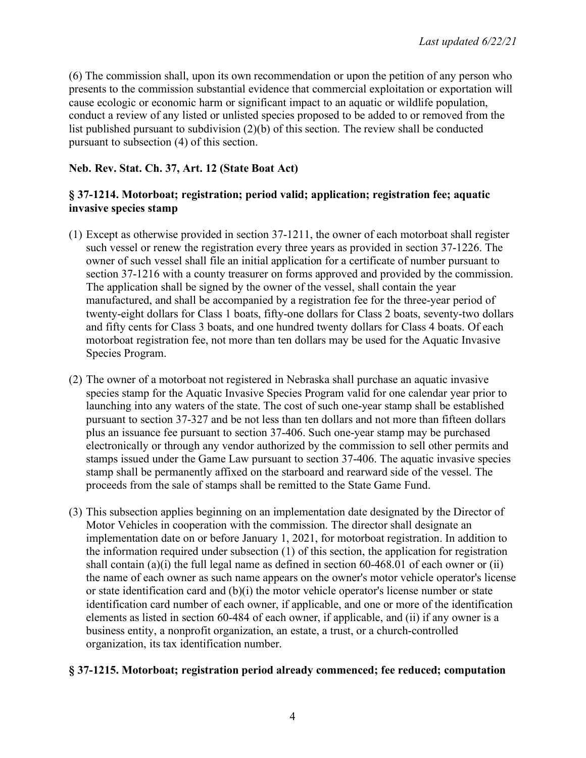(6) The commission shall, upon its own recommendation or upon the petition of any person who presents to the commission substantial evidence that commercial exploitation or exportation will cause ecologic or economic harm or significant impact to an aquatic or wildlife population, conduct a review of any listed or unlisted species proposed to be added to or removed from the list published pursuant to subdivision (2)(b) of this section. The review shall be conducted pursuant to subsection (4) of this section.

# **Neb. Rev. Stat. Ch. 37, Art. 12 (State Boat Act)**

## **§ 37-1214. Motorboat; registration; period valid; application; registration fee; aquatic invasive species stamp**

- (1) Except as otherwise provided in section 37-1211, the owner of each motorboat shall register such vessel or renew the registration every three years as provided in section 37-1226. The owner of such vessel shall file an initial application for a certificate of number pursuant to section 37-1216 with a county treasurer on forms approved and provided by the commission. The application shall be signed by the owner of the vessel, shall contain the year manufactured, and shall be accompanied by a registration fee for the three-year period of twenty-eight dollars for Class 1 boats, fifty-one dollars for Class 2 boats, seventy-two dollars and fifty cents for Class 3 boats, and one hundred twenty dollars for Class 4 boats. Of each motorboat registration fee, not more than ten dollars may be used for the Aquatic Invasive Species Program.
- (2) The owner of a motorboat not registered in Nebraska shall purchase an aquatic invasive species stamp for the Aquatic Invasive Species Program valid for one calendar year prior to launching into any waters of the state. The cost of such one-year stamp shall be established pursuant to section 37-327 and be not less than ten dollars and not more than fifteen dollars plus an issuance fee pursuant to section 37-406. Such one-year stamp may be purchased electronically or through any vendor authorized by the commission to sell other permits and stamps issued under the Game Law pursuant to section 37-406. The aquatic invasive species stamp shall be permanently affixed on the starboard and rearward side of the vessel. The proceeds from the sale of stamps shall be remitted to the State Game Fund.
- (3) This subsection applies beginning on an implementation date designated by the Director of Motor Vehicles in cooperation with the commission. The director shall designate an implementation date on or before January 1, 2021, for motorboat registration. In addition to the information required under subsection (1) of this section, the application for registration shall contain (a)(i) the full legal name as defined in section 60-468.01 of each owner or (ii) the name of each owner as such name appears on the owner's motor vehicle operator's license or state identification card and (b)(i) the motor vehicle operator's license number or state identification card number of each owner, if applicable, and one or more of the identification elements as listed in section 60-484 of each owner, if applicable, and (ii) if any owner is a business entity, a nonprofit organization, an estate, a trust, or a church-controlled organization, its tax identification number.

### **§ 37-1215. Motorboat; registration period already commenced; fee reduced; computation**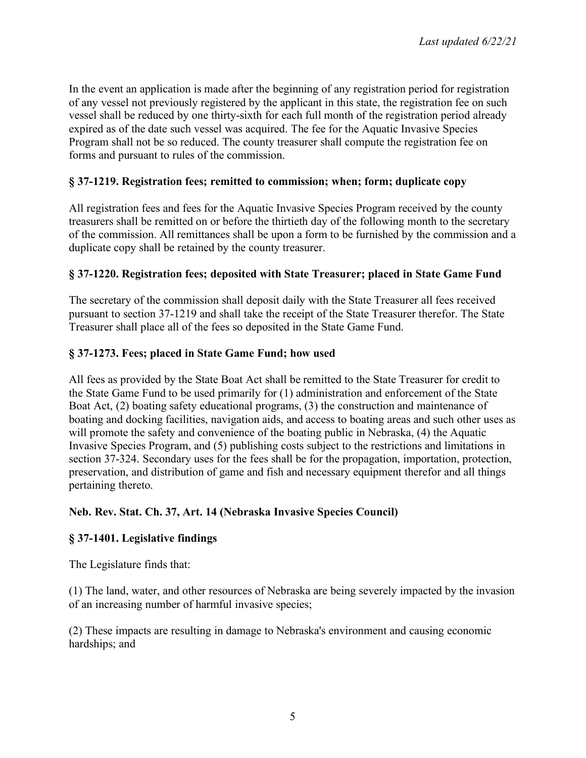In the event an application is made after the beginning of any registration period for registration of any vessel not previously registered by the applicant in this state, the registration fee on such vessel shall be reduced by one thirty-sixth for each full month of the registration period already expired as of the date such vessel was acquired. The fee for the Aquatic Invasive Species Program shall not be so reduced. The county treasurer shall compute the registration fee on forms and pursuant to rules of the commission.

## **§ 37-1219. Registration fees; remitted to commission; when; form; duplicate copy**

All registration fees and fees for the Aquatic Invasive Species Program received by the county treasurers shall be remitted on or before the thirtieth day of the following month to the secretary of the commission. All remittances shall be upon a form to be furnished by the commission and a duplicate copy shall be retained by the county treasurer.

### **§ 37-1220. Registration fees; deposited with State Treasurer; placed in State Game Fund**

The secretary of the commission shall deposit daily with the State Treasurer all fees received pursuant to section 37-1219 and shall take the receipt of the State Treasurer therefor. The State Treasurer shall place all of the fees so deposited in the State Game Fund.

### **§ 37-1273. Fees; placed in State Game Fund; how used**

All fees as provided by the State Boat Act shall be remitted to the State Treasurer for credit to the State Game Fund to be used primarily for (1) administration and enforcement of the State Boat Act, (2) boating safety educational programs, (3) the construction and maintenance of boating and docking facilities, navigation aids, and access to boating areas and such other uses as will promote the safety and convenience of the boating public in Nebraska, (4) the Aquatic Invasive Species Program, and (5) publishing costs subject to the restrictions and limitations in section 37-324. Secondary uses for the fees shall be for the propagation, importation, protection, preservation, and distribution of game and fish and necessary equipment therefor and all things pertaining thereto.

### **Neb. Rev. Stat. Ch. 37, Art. 14 (Nebraska Invasive Species Council)**

### **§ 37-1401. Legislative findings**

The Legislature finds that:

(1) The land, water, and other resources of Nebraska are being severely impacted by the invasion of an increasing number of harmful invasive species;

(2) These impacts are resulting in damage to Nebraska's environment and causing economic hardships; and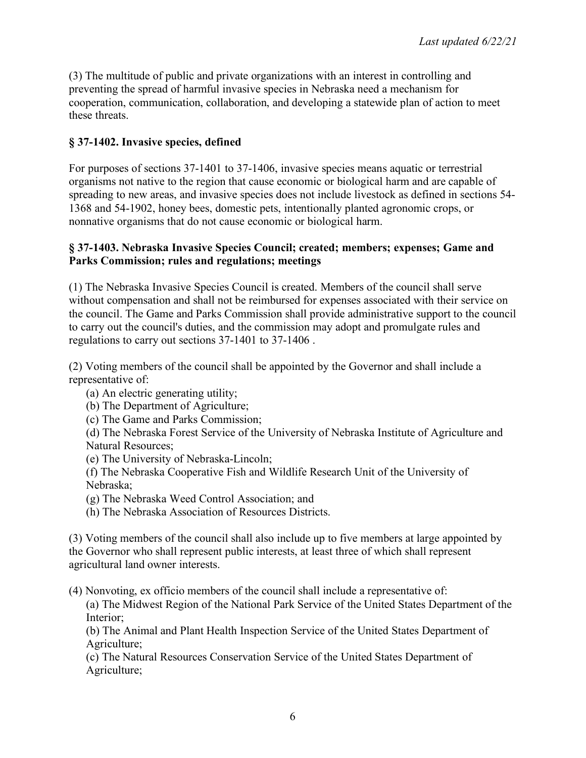(3) The multitude of public and private organizations with an interest in controlling and preventing the spread of harmful invasive species in Nebraska need a mechanism for cooperation, communication, collaboration, and developing a statewide plan of action to meet these threats.

# **§ 37-1402. Invasive species, defined**

For purposes of sections 37-1401 to 37-1406, invasive species means aquatic or terrestrial organisms not native to the region that cause economic or biological harm and are capable of spreading to new areas, and invasive species does not include livestock as defined in sections 54- 1368 and 54-1902, honey bees, domestic pets, intentionally planted agronomic crops, or nonnative organisms that do not cause economic or biological harm.

### **§ 37-1403. Nebraska Invasive Species Council; created; members; expenses; Game and Parks Commission; rules and regulations; meetings**

(1) The Nebraska Invasive Species Council is created. Members of the council shall serve without compensation and shall not be reimbursed for expenses associated with their service on the council. The Game and Parks Commission shall provide administrative support to the council to carry out the council's duties, and the commission may adopt and promulgate rules and regulations to carry out sections 37-1401 to 37-1406 .

(2) Voting members of the council shall be appointed by the Governor and shall include a representative of:

- (a) An electric generating utility;
- (b) The Department of Agriculture;
- (c) The Game and Parks Commission;

(d) The Nebraska Forest Service of the University of Nebraska Institute of Agriculture and Natural Resources;

- (e) The University of Nebraska-Lincoln;
- (f) The Nebraska Cooperative Fish and Wildlife Research Unit of the University of Nebraska;
- (g) The Nebraska Weed Control Association; and
- (h) The Nebraska Association of Resources Districts.

(3) Voting members of the council shall also include up to five members at large appointed by the Governor who shall represent public interests, at least three of which shall represent agricultural land owner interests.

(4) Nonvoting, ex officio members of the council shall include a representative of:

(a) The Midwest Region of the National Park Service of the United States Department of the Interior;

(b) The Animal and Plant Health Inspection Service of the United States Department of Agriculture;

(c) The Natural Resources Conservation Service of the United States Department of Agriculture;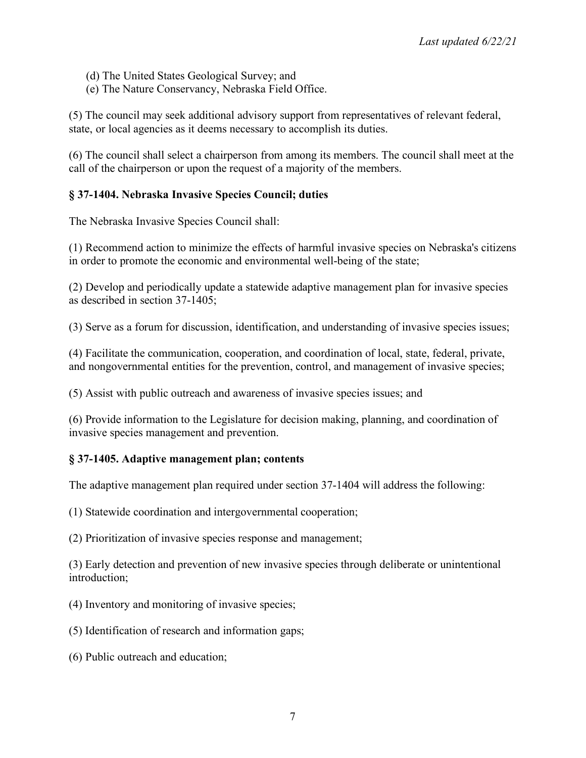- (d) The United States Geological Survey; and
- (e) The Nature Conservancy, Nebraska Field Office.

(5) The council may seek additional advisory support from representatives of relevant federal, state, or local agencies as it deems necessary to accomplish its duties.

(6) The council shall select a chairperson from among its members. The council shall meet at the call of the chairperson or upon the request of a majority of the members.

# **§ 37-1404. Nebraska Invasive Species Council; duties**

The Nebraska Invasive Species Council shall:

(1) Recommend action to minimize the effects of harmful invasive species on Nebraska's citizens in order to promote the economic and environmental well-being of the state;

(2) Develop and periodically update a statewide adaptive management plan for invasive species as described in section 37-1405;

(3) Serve as a forum for discussion, identification, and understanding of invasive species issues;

(4) Facilitate the communication, cooperation, and coordination of local, state, federal, private, and nongovernmental entities for the prevention, control, and management of invasive species;

(5) Assist with public outreach and awareness of invasive species issues; and

(6) Provide information to the Legislature for decision making, planning, and coordination of invasive species management and prevention.

### **§ 37-1405. Adaptive management plan; contents**

The adaptive management plan required under section 37-1404 will address the following:

(1) Statewide coordination and intergovernmental cooperation;

(2) Prioritization of invasive species response and management;

(3) Early detection and prevention of new invasive species through deliberate or unintentional introduction;

(4) Inventory and monitoring of invasive species;

(5) Identification of research and information gaps;

(6) Public outreach and education;